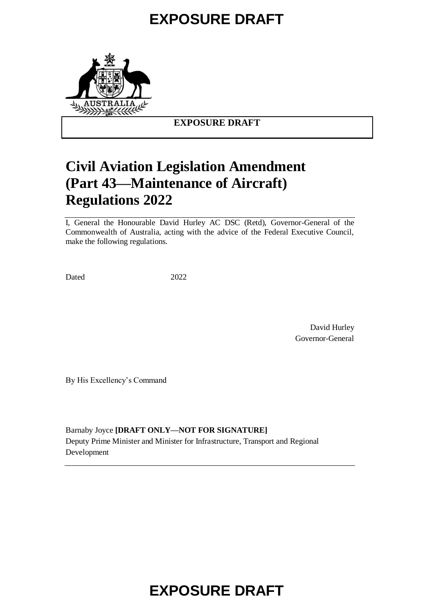

#### **EXPOSURE DRAFT**

# **Civil Aviation Legislation Amendment (Part 43—Maintenance of Aircraft) Regulations 2022**

I, General the Honourable David Hurley AC DSC (Retd), Governor-General of the Commonwealth of Australia, acting with the advice of the Federal Executive Council, make the following regulations.

Dated 2022

David Hurley Governor-General

By His Excellency's Command

Barnaby Joyce **[DRAFT ONLY—NOT FOR SIGNATURE]** Deputy Prime Minister and Minister for Infrastructure, Transport and Regional Development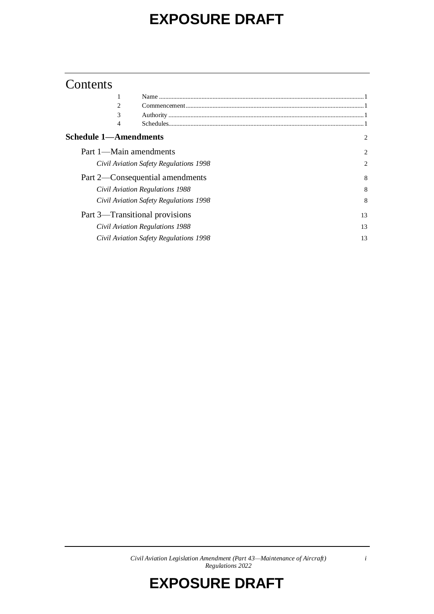### Contents

| 2                               |                                        |    |
|---------------------------------|----------------------------------------|----|
| 3                               |                                        |    |
| 4                               |                                        |    |
| <b>Schedule 1—Amendments</b>    |                                        | 2  |
| Part 1—Main amendments          |                                        | 2  |
|                                 | Civil Aviation Safety Regulations 1998 | 2  |
|                                 | Part 2—Consequential amendments        | 8  |
| Civil Aviation Regulations 1988 |                                        | 8  |
|                                 | Civil Aviation Safety Regulations 1998 | 8  |
|                                 | Part 3—Transitional provisions         | 13 |
|                                 | Civil Aviation Regulations 1988        | 13 |
|                                 | Civil Aviation Safety Regulations 1998 | 13 |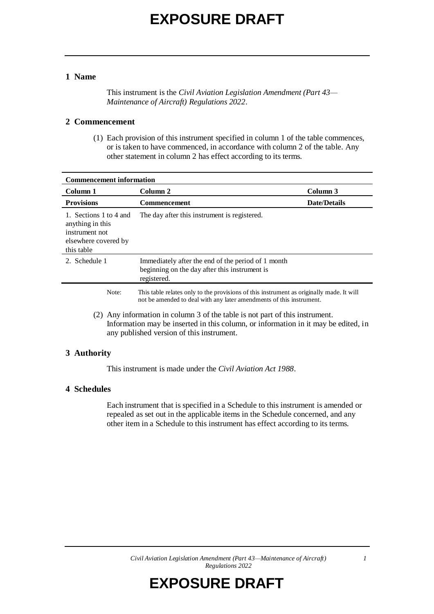#### **1 Name**

This instrument is the *Civil Aviation Legislation Amendment (Part 43— Maintenance of Aircraft) Regulations 2022*.

#### **2 Commencement**

(1) Each provision of this instrument specified in column 1 of the table commences, or is taken to have commenced, in accordance with column 2 of the table. Any other statement in column 2 has effect according to its terms.

| <b>Commencement information</b>                                                                                                                                       |                                                                                                                                                                  |                     |  |  |
|-----------------------------------------------------------------------------------------------------------------------------------------------------------------------|------------------------------------------------------------------------------------------------------------------------------------------------------------------|---------------------|--|--|
| Column 1                                                                                                                                                              | Column 2                                                                                                                                                         | Column 3            |  |  |
| <b>Provisions</b>                                                                                                                                                     | <b>Commencement</b>                                                                                                                                              | <b>Date/Details</b> |  |  |
| 1. Sections 1 to 4 and<br>anything in this<br>instrument not<br>elsewhere covered by<br>this table                                                                    | The day after this instrument is registered.                                                                                                                     |                     |  |  |
| 2. Schedule 1                                                                                                                                                         | Immediately after the end of the period of 1 month<br>beginning on the day after this instrument is<br>registered.                                               |                     |  |  |
| Note:                                                                                                                                                                 | This table relates only to the provisions of this instrument as originally made. It will<br>not be amended to deal with any later amendments of this instrument. |                     |  |  |
| Any information in column 3 of the table is not part of this instrument.<br>(2)<br>Information may be inserted in this column, or information in it may be edited, in |                                                                                                                                                                  |                     |  |  |

#### **3 Authority**

This instrument is made under the *Civil Aviation Act 1988*.

any published version of this instrument.

#### **4 Schedules**

Each instrument that is specified in a Schedule to this instrument is amended or repealed as set out in the applicable items in the Schedule concerned, and any other item in a Schedule to this instrument has effect according to its terms.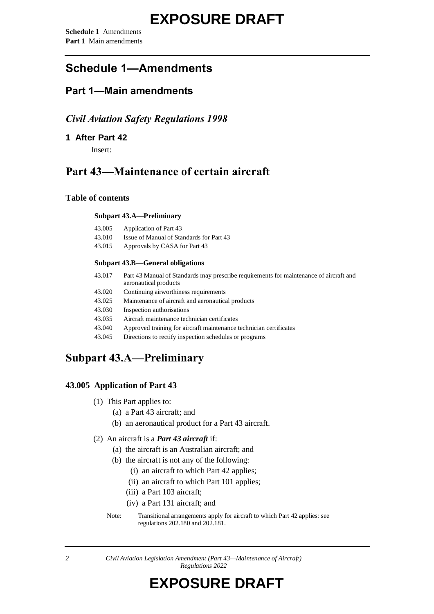### **Schedule 1—Amendments**

### **Part 1—Main amendments**

#### *Civil Aviation Safety Regulations 1998*

**1 After Part 42**

Insert:

### **Part 43—Maintenance of certain aircraft**

#### **Table of contents**

#### **Subpart 43.A—Preliminary**

| 43.005 | Application of Part 43                   |
|--------|------------------------------------------|
| 43.010 | Issue of Manual of Standards for Part 43 |
| 43.015 | Approvals by CASA for Part 43            |

#### **Subpart 43.B—General obligations**

| 43.017 | Part 43 Manual of Standards may prescribe requirements for maintenance of aircraft and |
|--------|----------------------------------------------------------------------------------------|
|        | aeronautical products                                                                  |

- 43.020 Continuing airworthiness requirements
- 43.025 Maintenance of aircraft and aeronautical products
- 43.030 Inspection authorisations
- 43.035 Aircraft maintenance technician certificates
- 43.040 Approved training for aircraft maintenance technician certificates
- 43.045 Directions to rectify inspection schedules or programs

### **Subpart 43.A—Preliminary**

#### **43.005 Application of Part 43**

- (1) This Part applies to:
	- (a) a Part 43 aircraft; and
	- (b) an aeronautical product for a Part 43 aircraft.

#### (2) An aircraft is a *Part 43 aircraft* if:

- (a) the aircraft is an Australian aircraft; and
- (b) the aircraft is not any of the following:
	- (i) an aircraft to which Part 42 applies;
	- (ii) an aircraft to which Part 101 applies;
	- (iii) a Part 103 aircraft;
	- (iv) a Part 131 aircraft; and

Note: Transitional arrangements apply for aircraft to which Part 42 applies: see regulations 202.180 and 202.181.

*<sup>2</sup> Civil Aviation Legislation Amendment (Part 43—Maintenance of Aircraft) Regulations 2022*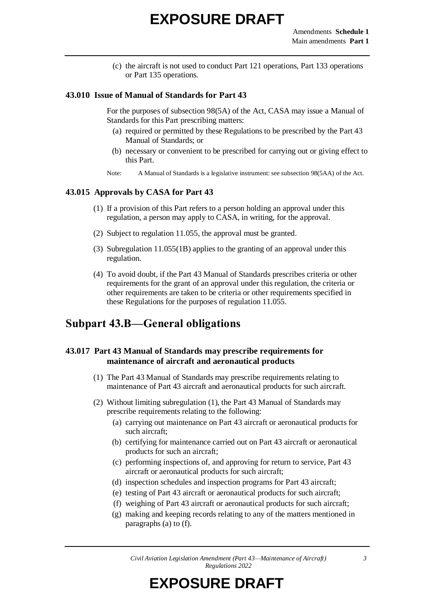(c) the aircraft is not used to conduct Part 121 operations, Part 133 operations or Part 135 operations.

#### **43.010 Issue of Manual of Standards for Part 43**

For the purposes of subsection 98(5A) of the Act, CASA may issue a Manual of Standards for this Part prescribing matters:

- (a) required or permitted by these Regulations to be prescribed by the Part 43 Manual of Standards; or
- (b) necessary or convenient to be prescribed for carrying out or giving effect to this Part.
- Note: A Manual of Standards is a legislative instrument: see subsection 98(5AA) of the Act.

#### **43.015 Approvals by CASA for Part 43**

- (1) If a provision of this Part refers to a person holding an approval under this regulation, a person may apply to CASA, in writing, for the approval.
- (2) Subject to regulation 11.055, the approval must be granted.
- (3) Subregulation 11.055(1B) applies to the granting of an approval under this regulation.
- (4) To avoid doubt, if the Part 43 Manual of Standards prescribes criteria or other requirements for the grant of an approval under this regulation, the criteria or other requirements are taken to be criteria or other requirements specified in these Regulations for the purposes of regulation 11.055.

### **Subpart 43.B—General obligations**

#### **43.017 Part 43 Manual of Standards may prescribe requirements for maintenance of aircraft and aeronautical products**

- (1) The Part 43 Manual of Standards may prescribe requirements relating to maintenance of Part 43 aircraft and aeronautical products for such aircraft.
- (2) Without limiting subregulation (1), the Part 43 Manual of Standards may prescribe requirements relating to the following:
	- (a) carrying out maintenance on Part 43 aircraft or aeronautical products for such aircraft;
	- (b) certifying for maintenance carried out on Part 43 aircraft or aeronautical products for such an aircraft;
	- (c) performing inspections of, and approving for return to service, Part 43 aircraft or aeronautical products for such aircraft;
	- (d) inspection schedules and inspection programs for Part 43 aircraft;
	- (e) testing of Part 43 aircraft or aeronautical products for such aircraft;
	- (f) weighing of Part 43 aircraft or aeronautical products for such aircraft;
	- (g) making and keeping records relating to any of the matters mentioned in paragraphs (a) to (f).

*Civil Aviation Legislation Amendment (Part 43—Maintenance of Aircraft) Regulations 2022*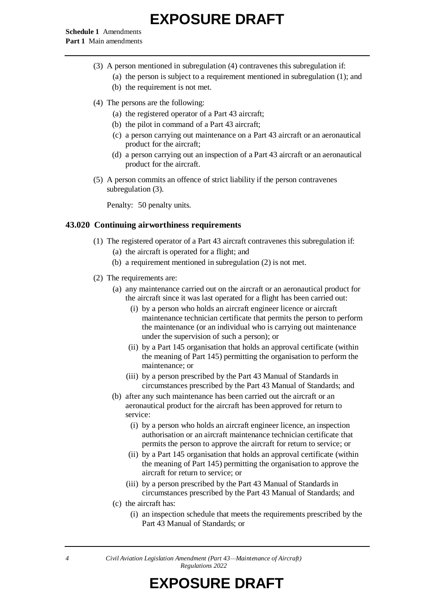**Schedule 1** Amendments **Part 1** Main amendments

- (3) A person mentioned in subregulation (4) contravenes this subregulation if:
	- (a) the person is subject to a requirement mentioned in subregulation (1); and
	- (b) the requirement is not met.
- (4) The persons are the following:
	- (a) the registered operator of a Part 43 aircraft;
	- (b) the pilot in command of a Part 43 aircraft;
	- (c) a person carrying out maintenance on a Part 43 aircraft or an aeronautical product for the aircraft;
	- (d) a person carrying out an inspection of a Part 43 aircraft or an aeronautical product for the aircraft.
- (5) A person commits an offence of strict liability if the person contravenes subregulation (3).

Penalty: 50 penalty units.

#### **43.020 Continuing airworthiness requirements**

- (1) The registered operator of a Part 43 aircraft contravenes this subregulation if: (a) the aircraft is operated for a flight; and
	- (b) a requirement mentioned in subregulation (2) is not met.
- (2) The requirements are:
	- (a) any maintenance carried out on the aircraft or an aeronautical product for the aircraft since it was last operated for a flight has been carried out:
		- (i) by a person who holds an aircraft engineer licence or aircraft maintenance technician certificate that permits the person to perform the maintenance (or an individual who is carrying out maintenance under the supervision of such a person); or
		- (ii) by a Part 145 organisation that holds an approval certificate (within the meaning of Part 145) permitting the organisation to perform the maintenance; or
		- (iii) by a person prescribed by the Part 43 Manual of Standards in circumstances prescribed by the Part 43 Manual of Standards; and
	- (b) after any such maintenance has been carried out the aircraft or an aeronautical product for the aircraft has been approved for return to service:
		- (i) by a person who holds an aircraft engineer licence, an inspection authorisation or an aircraft maintenance technician certificate that permits the person to approve the aircraft for return to service; or
		- (ii) by a Part 145 organisation that holds an approval certificate (within the meaning of Part 145) permitting the organisation to approve the aircraft for return to service; or
		- (iii) by a person prescribed by the Part 43 Manual of Standards in circumstances prescribed by the Part 43 Manual of Standards; and
	- (c) the aircraft has:
		- (i) an inspection schedule that meets the requirements prescribed by the Part 43 Manual of Standards; or

*<sup>4</sup> Civil Aviation Legislation Amendment (Part 43—Maintenance of Aircraft) Regulations 2022*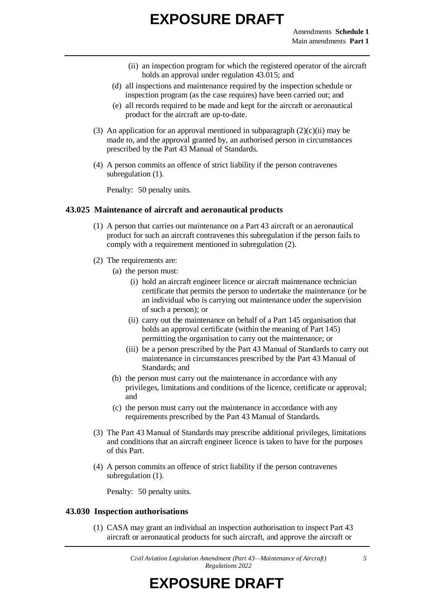- (ii) an inspection program for which the registered operator of the aircraft holds an approval under regulation 43.015; and
- (d) all inspections and maintenance required by the inspection schedule or inspection program (as the case requires) have been carried out; and
- (e) all records required to be made and kept for the aircraft or aeronautical product for the aircraft are up-to-date.
- (3) An application for an approval mentioned in subparagraph  $(2)(c)(ii)$  may be made to, and the approval granted by, an authorised person in circumstances prescribed by the Part 43 Manual of Standards.
- (4) A person commits an offence of strict liability if the person contravenes subregulation  $(1)$ .

Penalty: 50 penalty units.

#### **43.025 Maintenance of aircraft and aeronautical products**

- (1) A person that carries out maintenance on a Part 43 aircraft or an aeronautical product for such an aircraft contravenes this subregulation if the person fails to comply with a requirement mentioned in subregulation (2).
- (2) The requirements are:
	- (a) the person must:
		- (i) hold an aircraft engineer licence or aircraft maintenance technician certificate that permits the person to undertake the maintenance (or be an individual who is carrying out maintenance under the supervision of such a person); or
		- (ii) carry out the maintenance on behalf of a Part 145 organisation that holds an approval certificate (within the meaning of Part 145) permitting the organisation to carry out the maintenance; or
		- (iii) be a person prescribed by the Part 43 Manual of Standards to carry out maintenance in circumstances prescribed by the Part 43 Manual of Standards; and
	- (b) the person must carry out the maintenance in accordance with any privileges, limitations and conditions of the licence, certificate or approval; and
	- (c) the person must carry out the maintenance in accordance with any requirements prescribed by the Part 43 Manual of Standards.
- (3) The Part 43 Manual of Standards may prescribe additional privileges, limitations and conditions that an aircraft engineer licence is taken to have for the purposes of this Part.
- (4) A person commits an offence of strict liability if the person contravenes subregulation (1).

Penalty: 50 penalty units.

#### **43.030 Inspection authorisations**

(1) CASA may grant an individual an inspection authorisation to inspect Part 43 aircraft or aeronautical products for such aircraft, and approve the aircraft or

*Civil Aviation Legislation Amendment (Part 43—Maintenance of Aircraft) Regulations 2022*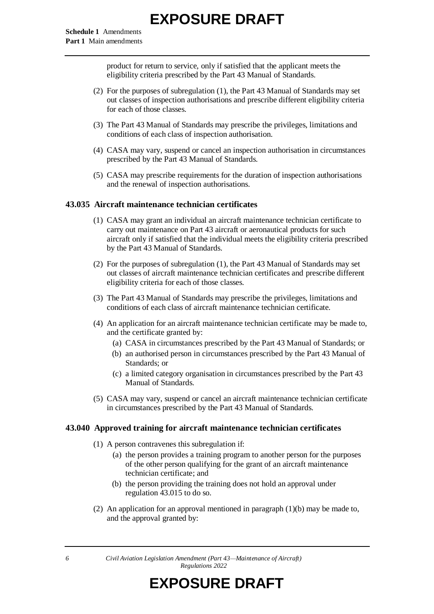product for return to service, only if satisfied that the applicant meets the eligibility criteria prescribed by the Part 43 Manual of Standards.

- (2) For the purposes of subregulation (1), the Part 43 Manual of Standards may set out classes of inspection authorisations and prescribe different eligibility criteria for each of those classes.
- (3) The Part 43 Manual of Standards may prescribe the privileges, limitations and conditions of each class of inspection authorisation.
- (4) CASA may vary, suspend or cancel an inspection authorisation in circumstances prescribed by the Part 43 Manual of Standards.
- (5) CASA may prescribe requirements for the duration of inspection authorisations and the renewal of inspection authorisations.

#### **43.035 Aircraft maintenance technician certificates**

- (1) CASA may grant an individual an aircraft maintenance technician certificate to carry out maintenance on Part 43 aircraft or aeronautical products for such aircraft only if satisfied that the individual meets the eligibility criteria prescribed by the Part 43 Manual of Standards.
- (2) For the purposes of subregulation (1), the Part 43 Manual of Standards may set out classes of aircraft maintenance technician certificates and prescribe different eligibility criteria for each of those classes.
- (3) The Part 43 Manual of Standards may prescribe the privileges, limitations and conditions of each class of aircraft maintenance technician certificate.
- (4) An application for an aircraft maintenance technician certificate may be made to, and the certificate granted by:
	- (a) CASA in circumstances prescribed by the Part 43 Manual of Standards; or
	- (b) an authorised person in circumstances prescribed by the Part 43 Manual of Standards; or
	- (c) a limited category organisation in circumstances prescribed by the Part 43 Manual of Standards.
- (5) CASA may vary, suspend or cancel an aircraft maintenance technician certificate in circumstances prescribed by the Part 43 Manual of Standards.

#### **43.040 Approved training for aircraft maintenance technician certificates**

- (1) A person contravenes this subregulation if:
	- (a) the person provides a training program to another person for the purposes of the other person qualifying for the grant of an aircraft maintenance technician certificate; and
	- (b) the person providing the training does not hold an approval under regulation 43.015 to do so.
- (2) An application for an approval mentioned in paragraph  $(1)(b)$  may be made to, and the approval granted by:

*6 Civil Aviation Legislation Amendment (Part 43—Maintenance of Aircraft) Regulations 2022*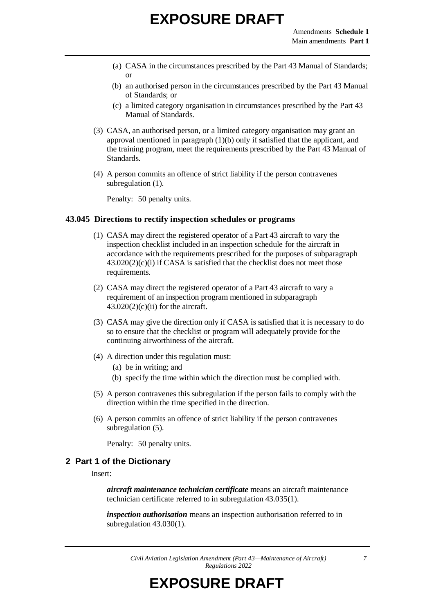- (a) CASA in the circumstances prescribed by the Part 43 Manual of Standards; or
- (b) an authorised person in the circumstances prescribed by the Part 43 Manual of Standards; or
- (c) a limited category organisation in circumstances prescribed by the Part 43 Manual of Standards.
- (3) CASA, an authorised person, or a limited category organisation may grant an approval mentioned in paragraph (1)(b) only if satisfied that the applicant, and the training program, meet the requirements prescribed by the Part 43 Manual of Standards.
- (4) A person commits an offence of strict liability if the person contravenes subregulation  $(1)$ .

Penalty: 50 penalty units.

#### **43.045 Directions to rectify inspection schedules or programs**

- (1) CASA may direct the registered operator of a Part 43 aircraft to vary the inspection checklist included in an inspection schedule for the aircraft in accordance with the requirements prescribed for the purposes of subparagraph  $43.020(2)(c)(i)$  if CASA is satisfied that the checklist does not meet those requirements.
- (2) CASA may direct the registered operator of a Part 43 aircraft to vary a requirement of an inspection program mentioned in subparagraph  $43.020(2)(c)(ii)$  for the aircraft.
- (3) CASA may give the direction only if CASA is satisfied that it is necessary to do so to ensure that the checklist or program will adequately provide for the continuing airworthiness of the aircraft.
- (4) A direction under this regulation must:
	- (a) be in writing; and
	- (b) specify the time within which the direction must be complied with.
- (5) A person contravenes this subregulation if the person fails to comply with the direction within the time specified in the direction.
- (6) A person commits an offence of strict liability if the person contravenes subregulation (5).

Penalty: 50 penalty units.

#### **2 Part 1 of the Dictionary**

Insert:

*aircraft maintenance technician certificate* means an aircraft maintenance technician certificate referred to in subregulation 43.035(1).

*inspection authorisation* means an inspection authorisation referred to in subregulation 43.030(1).

*Civil Aviation Legislation Amendment (Part 43—Maintenance of Aircraft) Regulations 2022*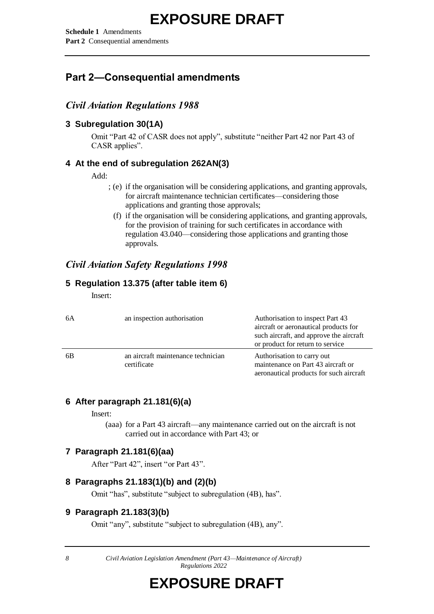**Schedule 1** Amendments **Part 2** Consequential amendments

### **Part 2—Consequential amendments**

#### *Civil Aviation Regulations 1988*

#### **3 Subregulation 30(1A)**

Omit "Part 42 of CASR does not apply", substitute "neither Part 42 nor Part 43 of CASR applies".

#### **4 At the end of subregulation 262AN(3)**

#### Add:

- ; (e) if the organisation will be considering applications, and granting approvals, for aircraft maintenance technician certificates—considering those applications and granting those approvals;
	- (f) if the organisation will be considering applications, and granting approvals, for the provision of training for such certificates in accordance with regulation 43.040—considering those applications and granting those approvals.

#### *Civil Aviation Safety Regulations 1998*

#### **5 Regulation 13.375 (after table item 6)**

Insert:

| 6A | an inspection authorisation                       | Authorisation to inspect Part 43<br>aircraft or aeronautical products for<br>such aircraft, and approve the aircraft<br>or product for return to service |
|----|---------------------------------------------------|----------------------------------------------------------------------------------------------------------------------------------------------------------|
| 6B | an aircraft maintenance technician<br>certificate | Authorisation to carry out<br>maintenance on Part 43 aircraft or<br>aeronautical products for such aircraft                                              |

#### **6 After paragraph 21.181(6)(a)**

Insert:

(aaa) for a Part 43 aircraft—any maintenance carried out on the aircraft is not carried out in accordance with Part 43; or

#### **7 Paragraph 21.181(6)(aa)**

After "Part 42", insert "or Part 43".

#### **8 Paragraphs 21.183(1)(b) and (2)(b)**

Omit "has", substitute "subject to subregulation (4B), has".

#### **9 Paragraph 21.183(3)(b)**

Omit "any", substitute "subject to subregulation (4B), any".

*8 Civil Aviation Legislation Amendment (Part 43—Maintenance of Aircraft) Regulations 2022*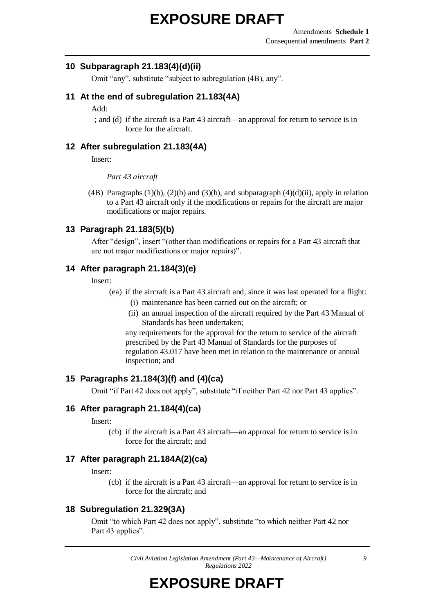#### **10 Subparagraph 21.183(4)(d)(ii)**

Omit "any", substitute "subject to subregulation (4B), any".

#### **11 At the end of subregulation 21.183(4A)**

Add:

; and (d) if the aircraft is a Part 43 aircraft—an approval for return to service is in force for the aircraft.

#### **12 After subregulation 21.183(4A)**

Insert:

*Part 43 aircraft*

(4B) Paragraphs  $(1)(b)$ ,  $(2)(b)$  and  $(3)(b)$ , and subparagraph  $(4)(d)(ii)$ , apply in relation to a Part 43 aircraft only if the modifications or repairs for the aircraft are major modifications or major repairs.

#### **13 Paragraph 21.183(5)(b)**

After "design", insert "(other than modifications or repairs for a Part 43 aircraft that are not major modifications or major repairs)".

#### **14 After paragraph 21.184(3)(e)**

Insert:

- (ea) if the aircraft is a Part 43 aircraft and, since it was last operated for a flight:
	- (i) maintenance has been carried out on the aircraft; or
	- (ii) an annual inspection of the aircraft required by the Part 43 Manual of Standards has been undertaken;

any requirements for the approval for the return to service of the aircraft prescribed by the Part 43 Manual of Standards for the purposes of regulation 43.017 have been met in relation to the maintenance or annual inspection; and

#### **15 Paragraphs 21.184(3)(f) and (4)(ca)**

Omit "if Part 42 does not apply", substitute "if neither Part 42 nor Part 43 applies".

#### **16 After paragraph 21.184(4)(ca)**

#### Insert:

(cb) if the aircraft is a Part 43 aircraft—an approval for return to service is in force for the aircraft; and

#### **17 After paragraph 21.184A(2)(ca)**

Insert:

(cb) if the aircraft is a Part 43 aircraft—an approval for return to service is in force for the aircraft; and

#### **18 Subregulation 21.329(3A)**

Omit "to which Part 42 does not apply", substitute "to which neither Part 42 nor Part 43 applies".

> *Civil Aviation Legislation Amendment (Part 43—Maintenance of Aircraft) Regulations 2022*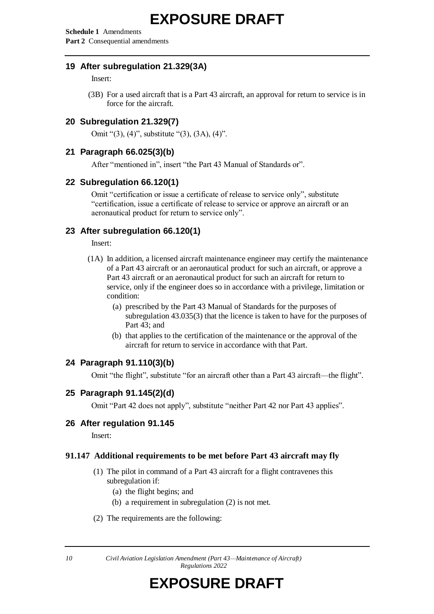**Schedule 1** Amendments **Part 2** Consequential amendments

#### **19 After subregulation 21.329(3A)**

Insert:

(3B) For a used aircraft that is a Part 43 aircraft, an approval for return to service is in force for the aircraft.

#### **20 Subregulation 21.329(7)**

Omit "(3), (4)", substitute "(3), (3A), (4)".

#### **21 Paragraph 66.025(3)(b)**

After "mentioned in", insert "the Part 43 Manual of Standards or".

#### **22 Subregulation 66.120(1)**

Omit "certification or issue a certificate of release to service only", substitute "certification, issue a certificate of release to service or approve an aircraft or an aeronautical product for return to service only".

#### **23 After subregulation 66.120(1)**

Insert:

- (1A) In addition, a licensed aircraft maintenance engineer may certify the maintenance of a Part 43 aircraft or an aeronautical product for such an aircraft, or approve a Part 43 aircraft or an aeronautical product for such an aircraft for return to service, only if the engineer does so in accordance with a privilege, limitation or condition:
	- (a) prescribed by the Part 43 Manual of Standards for the purposes of subregulation 43.035(3) that the licence is taken to have for the purposes of Part 43; and
	- (b) that applies to the certification of the maintenance or the approval of the aircraft for return to service in accordance with that Part.

#### **24 Paragraph 91.110(3)(b)**

Omit "the flight", substitute "for an aircraft other than a Part 43 aircraft—the flight".

#### **25 Paragraph 91.145(2)(d)**

Omit "Part 42 does not apply", substitute "neither Part 42 nor Part 43 applies".

#### **26 After regulation 91.145**

Insert:

#### **91.147 Additional requirements to be met before Part 43 aircraft may fly**

- (1) The pilot in command of a Part 43 aircraft for a flight contravenes this subregulation if:
	- (a) the flight begins; and
	- (b) a requirement in subregulation (2) is not met.
- (2) The requirements are the following:

*10 Civil Aviation Legislation Amendment (Part 43—Maintenance of Aircraft) Regulations 2022*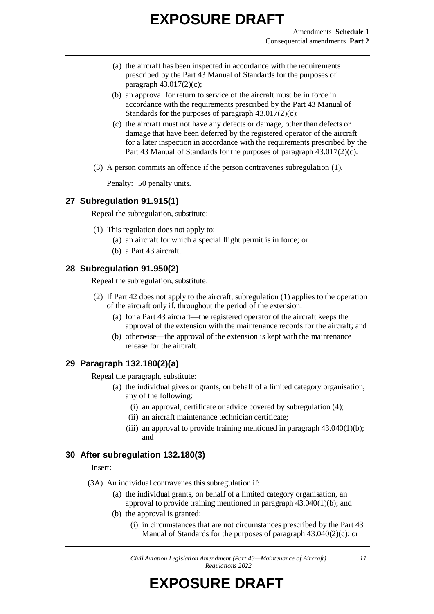- (a) the aircraft has been inspected in accordance with the requirements prescribed by the Part 43 Manual of Standards for the purposes of paragraph 43.017(2)(c);
- (b) an approval for return to service of the aircraft must be in force in accordance with the requirements prescribed by the Part 43 Manual of Standards for the purposes of paragraph 43.017(2)(c);
- (c) the aircraft must not have any defects or damage, other than defects or damage that have been deferred by the registered operator of the aircraft for a later inspection in accordance with the requirements prescribed by the Part 43 Manual of Standards for the purposes of paragraph 43.017(2)(c).
- (3) A person commits an offence if the person contravenes subregulation (1).

Penalty: 50 penalty units.

#### **27 Subregulation 91.915(1)**

Repeal the subregulation, substitute:

- (1) This regulation does not apply to:
	- (a) an aircraft for which a special flight permit is in force; or
	- (b) a Part 43 aircraft.

#### **28 Subregulation 91.950(2)**

Repeal the subregulation, substitute:

- (2) If Part 42 does not apply to the aircraft, subregulation (1) applies to the operation of the aircraft only if, throughout the period of the extension:
	- (a) for a Part 43 aircraft—the registered operator of the aircraft keeps the approval of the extension with the maintenance records for the aircraft; and
	- (b) otherwise—the approval of the extension is kept with the maintenance release for the aircraft.

#### **29 Paragraph 132.180(2)(a)**

Repeal the paragraph, substitute:

- (a) the individual gives or grants, on behalf of a limited category organisation, any of the following:
	- (i) an approval, certificate or advice covered by subregulation (4);
	- (ii) an aircraft maintenance technician certificate;
	- (iii) an approval to provide training mentioned in paragraph  $43.040(1)(b)$ ; and

#### **30 After subregulation 132.180(3)**

Insert:

- (3A) An individual contravenes this subregulation if:
	- (a) the individual grants, on behalf of a limited category organisation, an approval to provide training mentioned in paragraph 43.040(1)(b); and
	- (b) the approval is granted:
		- (i) in circumstances that are not circumstances prescribed by the Part 43 Manual of Standards for the purposes of paragraph 43.040(2)(c); or

*Civil Aviation Legislation Amendment (Part 43—Maintenance of Aircraft) Regulations 2022*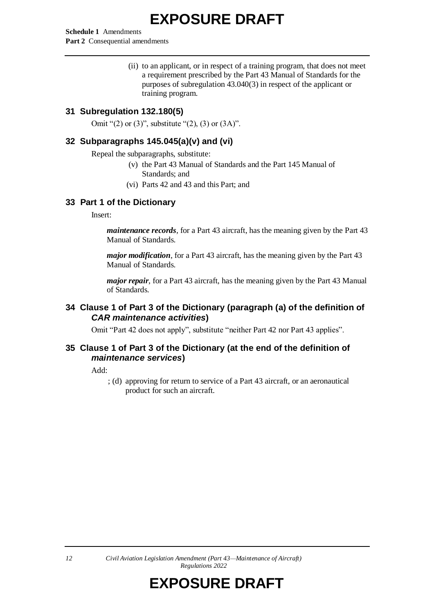**Schedule 1** Amendments **Part 2** Consequential amendments

> (ii) to an applicant, or in respect of a training program, that does not meet a requirement prescribed by the Part 43 Manual of Standards for the purposes of subregulation 43.040(3) in respect of the applicant or training program.

#### **31 Subregulation 132.180(5)**

Omit "(2) or (3)", substitute "(2), (3) or  $(3A)$ ".

#### **32 Subparagraphs 145.045(a)(v) and (vi)**

Repeal the subparagraphs, substitute:

- (v) the Part 43 Manual of Standards and the Part 145 Manual of Standards; and
- (vi) Parts 42 and 43 and this Part; and

#### **33 Part 1 of the Dictionary**

Insert:

*maintenance records*, for a Part 43 aircraft, has the meaning given by the Part 43 Manual of Standards.

*major modification*, for a Part 43 aircraft, has the meaning given by the Part 43 Manual of Standards.

*major repair*, for a Part 43 aircraft, has the meaning given by the Part 43 Manual of Standards.

#### **34 Clause 1 of Part 3 of the Dictionary (paragraph (a) of the definition of**  *CAR maintenance activities***)**

Omit "Part 42 does not apply", substitute "neither Part 42 nor Part 43 applies".

#### **35 Clause 1 of Part 3 of the Dictionary (at the end of the definition of**  *maintenance services***)**

Add:

; (d) approving for return to service of a Part 43 aircraft, or an aeronautical product for such an aircraft.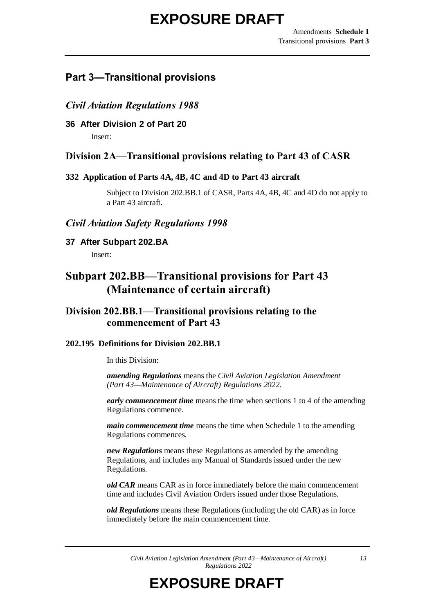### **Part 3—Transitional provisions**

#### *Civil Aviation Regulations 1988*

**36 After Division 2 of Part 20**

Insert:

#### **Division 2A—Transitional provisions relating to Part 43 of CASR**

#### **332 Application of Parts 4A, 4B, 4C and 4D to Part 43 aircraft**

Subject to Division 202.BB.1 of CASR, Parts 4A, 4B, 4C and 4D do not apply to a Part 43 aircraft.

#### *Civil Aviation Safety Regulations 1998*

**37 After Subpart 202.BA**

Insert:

### **Subpart 202.BB—Transitional provisions for Part 43 (Maintenance of certain aircraft)**

#### **Division 202.BB.1—Transitional provisions relating to the commencement of Part 43**

#### **202.195 Definitions for Division 202.BB.1**

In this Division:

*amending Regulations* means the *Civil Aviation Legislation Amendment (Part 43—Maintenance of Aircraft) Regulations 2022*.

*early commencement time* means the time when sections 1 to 4 of the amending Regulations commence.

*main commencement time* means the time when Schedule 1 to the amending Regulations commences.

*new Regulations* means these Regulations as amended by the amending Regulations, and includes any Manual of Standards issued under the new Regulations.

*old CAR* means CAR as in force immediately before the main commencement time and includes Civil Aviation Orders issued under those Regulations.

*old Regulations* means these Regulations (including the old CAR) as in force immediately before the main commencement time.

*Civil Aviation Legislation Amendment (Part 43—Maintenance of Aircraft) Regulations 2022*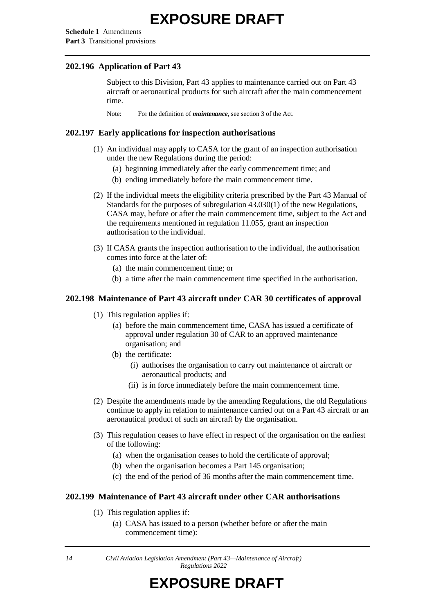**Schedule 1** Amendments **Part 3** Transitional provisions

#### **202.196 Application of Part 43**

Subject to this Division, Part 43 applies to maintenance carried out on Part 43 aircraft or aeronautical products for such aircraft after the main commencement time.

Note: For the definition of *maintenance*, see section 3 of the Act.

#### **202.197 Early applications for inspection authorisations**

- (1) An individual may apply to CASA for the grant of an inspection authorisation under the new Regulations during the period:
	- (a) beginning immediately after the early commencement time; and
	- (b) ending immediately before the main commencement time.
- (2) If the individual meets the eligibility criteria prescribed by the Part 43 Manual of Standards for the purposes of subregulation 43.030(1) of the new Regulations, CASA may, before or after the main commencement time, subject to the Act and the requirements mentioned in regulation 11.055, grant an inspection authorisation to the individual.
- (3) If CASA grants the inspection authorisation to the individual, the authorisation comes into force at the later of:
	- (a) the main commencement time; or
	- (b) a time after the main commencement time specified in the authorisation.

#### **202.198 Maintenance of Part 43 aircraft under CAR 30 certificates of approval**

- (1) This regulation applies if:
	- (a) before the main commencement time, CASA has issued a certificate of approval under regulation 30 of CAR to an approved maintenance organisation; and
	- (b) the certificate:
		- (i) authorises the organisation to carry out maintenance of aircraft or aeronautical products; and
		- (ii) is in force immediately before the main commencement time.
- (2) Despite the amendments made by the amending Regulations, the old Regulations continue to apply in relation to maintenance carried out on a Part 43 aircraft or an aeronautical product of such an aircraft by the organisation.
- (3) This regulation ceases to have effect in respect of the organisation on the earliest of the following:
	- (a) when the organisation ceases to hold the certificate of approval;
	- (b) when the organisation becomes a Part 145 organisation;
	- (c) the end of the period of 36 months after the main commencement time.

#### **202.199 Maintenance of Part 43 aircraft under other CAR authorisations**

- (1) This regulation applies if:
	- (a) CASA has issued to a person (whether before or after the main commencement time):

*<sup>14</sup> Civil Aviation Legislation Amendment (Part 43—Maintenance of Aircraft) Regulations 2022*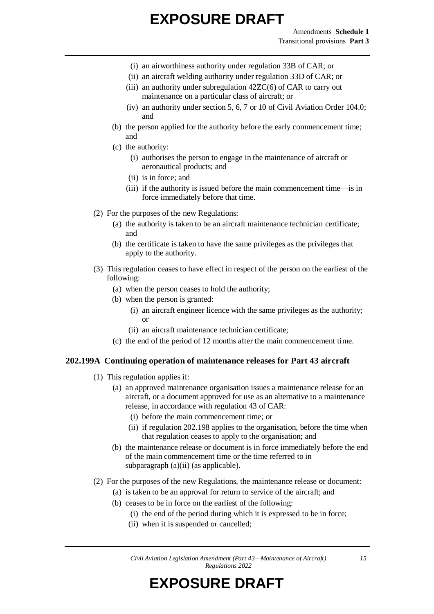- (i) an airworthiness authority under regulation 33B of CAR; or
- (ii) an aircraft welding authority under regulation 33D of CAR; or
- (iii) an authority under subregulation 42ZC(6) of CAR to carry out maintenance on a particular class of aircraft; or
- (iv) an authority under section 5, 6, 7 or 10 of Civil Aviation Order 104.0; and
- (b) the person applied for the authority before the early commencement time; and
- (c) the authority:
	- (i) authorises the person to engage in the maintenance of aircraft or aeronautical products; and
	- (ii) is in force; and
	- (iii) if the authority is issued before the main commencement time—is in force immediately before that time.
- (2) For the purposes of the new Regulations:
	- (a) the authority is taken to be an aircraft maintenance technician certificate; and
	- (b) the certificate is taken to have the same privileges as the privileges that apply to the authority.
- (3) This regulation ceases to have effect in respect of the person on the earliest of the following:
	- (a) when the person ceases to hold the authority;
	- (b) when the person is granted:
		- (i) an aircraft engineer licence with the same privileges as the authority; or
		- (ii) an aircraft maintenance technician certificate;
	- (c) the end of the period of 12 months after the main commencement time.

#### **202.199A Continuing operation of maintenance releases for Part 43 aircraft**

- (1) This regulation applies if:
	- (a) an approved maintenance organisation issues a maintenance release for an aircraft, or a document approved for use as an alternative to a maintenance release, in accordance with regulation 43 of CAR:
		- (i) before the main commencement time; or
		- (ii) if regulation 202.198 applies to the organisation, before the time when that regulation ceases to apply to the organisation; and
	- (b) the maintenance release or document is in force immediately before the end of the main commencement time or the time referred to in subparagraph (a)(ii) (as applicable).
- (2) For the purposes of the new Regulations, the maintenance release or document:
	- (a) is taken to be an approval for return to service of the aircraft; and
	- (b) ceases to be in force on the earliest of the following:
		- (i) the end of the period during which it is expressed to be in force;
		- (ii) when it is suspended or cancelled;